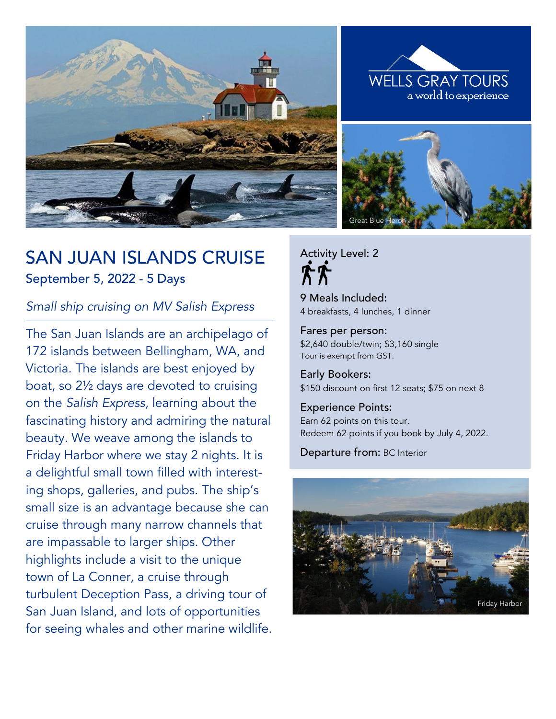





# SAN JUAN ISLANDS CRUISE September 5, 2022 - 5 Days

# *Small ship cruising on MV Salish Express*

The San Juan Islands are an archipelago of 172 islands between Bellingham, WA, and Victoria. The islands are best enjoyed by boat, so 2½ days are devoted to cruising on the *Salish Express,* learning about the fascinating history and admiring the natural beauty. We weave among the islands to Friday Harbor where we stay 2 nights. It is a delightful small town filled with interesting shops, galleries, and pubs. The ship's small size is an advantage because she can cruise through many narrow channels that are impassable to larger ships. Other highlights include a visit to the unique town of La Conner, a cruise through turbulent Deception Pass, a driving tour of San Juan Island, and lots of opportunities for seeing whales and other marine wildlife. Activity Level: 2

9 Meals Included: 4 breakfasts, 4 lunches, 1 dinner

Fares per person: \$2,640 double/twin; \$3,160 single Tour is exempt from GST.

Early Bookers: \$150 discount on first 12 seats; \$75 on next 8

#### Experience Points:

Earn 62 points on this tour. Redeem 62 points if you book by July 4, 2022.

Departure from: BC Interior

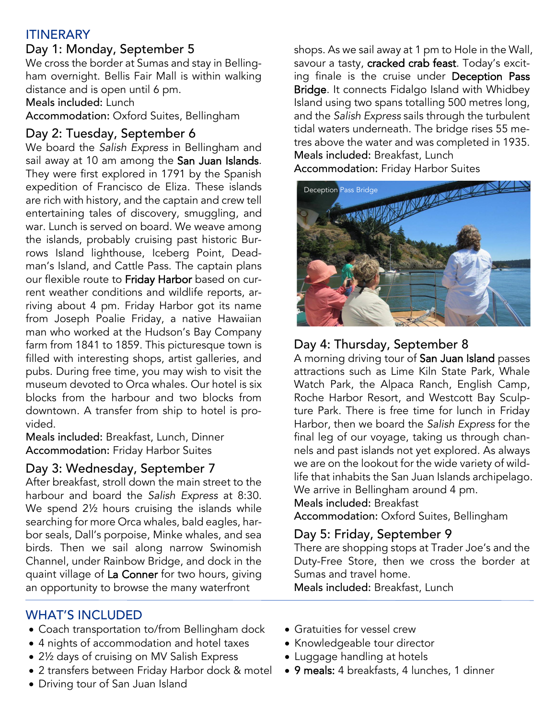# ITINERARY

# Day 1: Monday, September 5

We cross the border at Sumas and stay in Bellingham overnight. Bellis Fair Mall is within walking distance and is open until 6 pm. Meals included: Lunch

Accommodation: Oxford Suites, Bellingham

# Day 2: Tuesday, September 6

We board the *Salish Express* in Bellingham and sail away at 10 am among the San Juan Islands. They were first explored in 1791 by the Spanish expedition of Francisco de Eliza. These islands are rich with history, and the captain and crew tell entertaining tales of discovery, smuggling, and war. Lunch is served on board. We weave among the islands, probably cruising past historic Burrows Island lighthouse, Iceberg Point, Deadman's Island, and Cattle Pass. The captain plans our flexible route to Friday Harbor based on current weather conditions and wildlife reports, arriving about 4 pm. Friday Harbor got its name from Joseph Poalie Friday, a native Hawaiian man who worked at the Hudson's Bay Company farm from 1841 to 1859. This picturesque town is filled with interesting shops, artist galleries, and pubs. During free time, you may wish to visit the museum devoted to Orca whales. Our hotel is six blocks from the harbour and two blocks from downtown. A transfer from ship to hotel is provided.

Meals included: Breakfast, Lunch, Dinner Accommodation: Friday Harbor Suites

# Day 3: Wednesday, September 7

After breakfast, stroll down the main street to the harbour and board the *Salish Express* at 8:30. We spend 2½ hours cruising the islands while searching for more Orca whales, bald eagles, harbor seals, Dall's porpoise, Minke whales, and sea birds. Then we sail along narrow Swinomish Channel, under Rainbow Bridge, and dock in the quaint village of La Conner for two hours, giving an opportunity to browse the many waterfront

shops. As we sail away at 1 pm to Hole in the Wall, savour a tasty, cracked crab feast. Today's exciting finale is the cruise under Deception Pass Bridge. It connects Fidalgo Island with Whidbey Island using two spans totalling 500 metres long, and the *Salish Express* sails through the turbulent tidal waters underneath. The bridge rises 55 metres above the water and was completed in 1935. Meals included: Breakfast, Lunch Accommodation: Friday Harbor Suites



# Day 4: Thursday, September 8

A morning driving tour of San Juan Island passes attractions such as Lime Kiln State Park, Whale Watch Park, the Alpaca Ranch, English Camp, Roche Harbor Resort, and Westcott Bay Sculpture Park. There is free time for lunch in Friday Harbor, then we board the *Salish Express* for the final leg of our voyage, taking us through channels and past islands not yet explored. As always we are on the lookout for the wide variety of wildlife that inhabits the San Juan Islands archipelago. We arrive in Bellingham around 4 pm.

### Meals included: Breakfast

Accommodation: Oxford Suites, Bellingham

# Day 5: Friday, September 9

There are shopping stops at Trader Joe's and the Duty-Free Store, then we cross the border at Sumas and travel home.

Meals included: Breakfast, Lunch

### WHAT'S INCLUDED

- Coach transportation to/from Bellingham dock
- 4 nights of accommodation and hotel taxes
- 2½ days of cruising on MV Salish Express
- 2 transfers between Friday Harbor dock & motel
- Driving tour of San Juan Island

• Gratuities for vessel crew

Ī

- Knowledgeable tour director
- Luggage handling at hotels
- 9 meals: 4 breakfasts, 4 lunches, 1 dinner